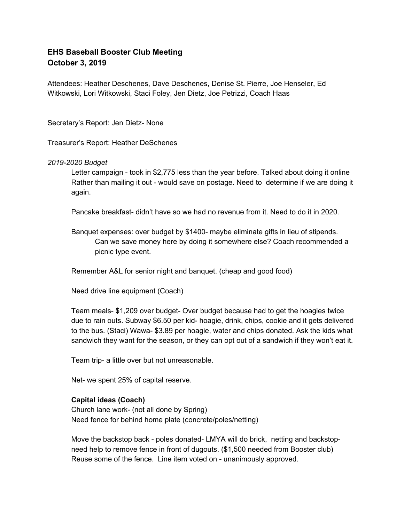# **EHS Baseball Booster Club Meeting October 3, 2019**

Attendees: Heather Deschenes, Dave Deschenes, Denise St. Pierre, Joe Henseler, Ed Witkowski, Lori Witkowski, Staci Foley, Jen Dietz, Joe Petrizzi, Coach Haas

Secretary's Report: Jen Dietz- None

Treasurer's Report: Heather DeSchenes

# *2019-2020 Budget*

Letter campaign - took in \$2,775 less than the year before. Talked about doing it online Rather than mailing it out - would save on postage. Need to determine if we are doing it again.

Pancake breakfast- didn't have so we had no revenue from it. Need to do it in 2020.

Banquet expenses: over budget by \$1400- maybe eliminate gifts in lieu of stipends. Can we save money here by doing it somewhere else? Coach recommended a picnic type event.

Remember A&L for senior night and banquet. (cheap and good food)

Need drive line equipment (Coach)

Team meals- \$1,209 over budget- Over budget because had to get the hoagies twice due to rain outs. Subway \$6.50 per kid- hoagie, drink, chips, cookie and it gets delivered to the bus. (Staci) Wawa- \$3.89 per hoagie, water and chips donated. Ask the kids what sandwich they want for the season, or they can opt out of a sandwich if they won't eat it.

Team trip- a little over but not unreasonable.

Net- we spent 25% of capital reserve.

# **Capital ideas (Coach)**

Church lane work- (not all done by Spring) Need fence for behind home plate (concrete/poles/netting)

Move the backstop back - poles donated- LMYA will do brick, netting and backstopneed help to remove fence in front of dugouts. (\$1,500 needed from Booster club) Reuse some of the fence. Line item voted on - unanimously approved.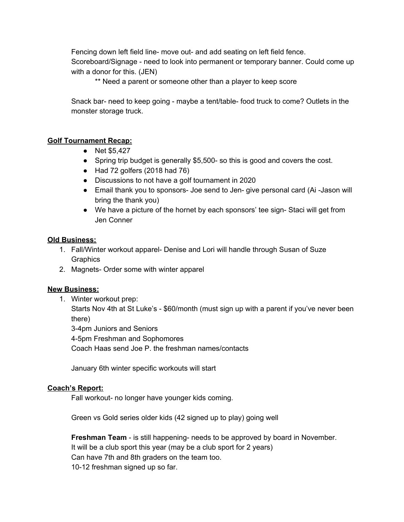Fencing down left field line- move out- and add seating on left field fence. Scoreboard/Signage - need to look into permanent or temporary banner. Could come up with a donor for this. (JEN)

\*\* Need a parent or someone other than a player to keep score

Snack bar- need to keep going - maybe a tent/table- food truck to come? Outlets in the monster storage truck.

# **Golf Tournament Recap:**

- Net \$5,427
- Spring trip budget is generally \$5,500- so this is good and covers the cost.
- Had 72 golfers (2018 had 76)
- Discussions to not have a golf tournament in 2020
- Email thank you to sponsors- Joe send to Jen- give personal card (Ai -Jason will bring the thank you)
- We have a picture of the hornet by each sponsors' tee sign- Staci will get from Jen Conner

#### **Old Business:**

- 1. Fall/Winter workout apparel- Denise and Lori will handle through Susan of Suze **Graphics**
- 2. Magnets- Order some with winter apparel

# **New Business:**

1. Winter workout prep:

Starts Nov 4th at St Luke's - \$60/month (must sign up with a parent if you've never been there)

3-4pm Juniors and Seniors

4-5pm Freshman and Sophomores

Coach Haas send Joe P. the freshman names/contacts

January 6th winter specific workouts will start

# **Coach's Report:**

Fall workout- no longer have younger kids coming.

Green vs Gold series older kids (42 signed up to play) going well

**Freshman Team** - is still happening- needs to be approved by board in November. It will be a club sport this year (may be a club sport for 2 years) Can have 7th and 8th graders on the team too. 10-12 freshman signed up so far.